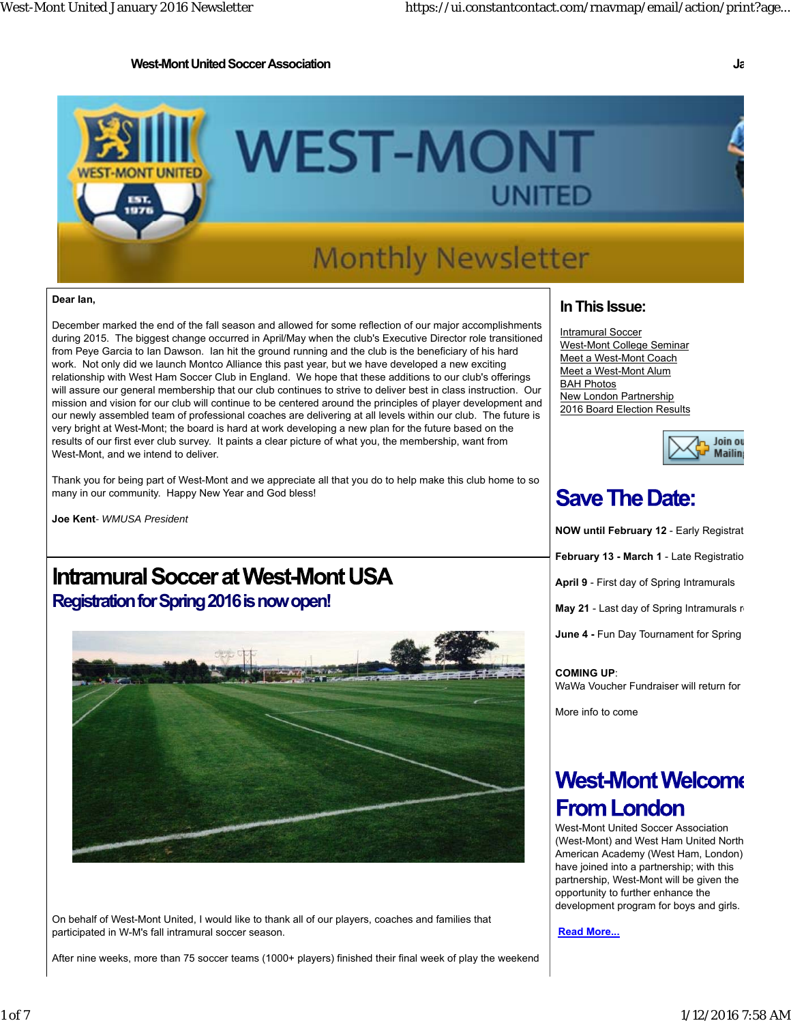#### **West-Mont United Soccer Association Ja**



#### **Dear Ian,**

December marked the end of the fall season and allowed for some reflection of our major accomplishments during 2015. The biggest change occurred in April/May when the club's Executive Director role transitioned from Peye Garcia to Ian Dawson. Ian hit the ground running and the club is the beneficiary of his hard work. Not only did we launch Montco Alliance this past year, but we have developed a new exciting relationship with West Ham Soccer Club in England. We hope that these additions to our club's offerings will assure our general membership that our club continues to strive to deliver best in class instruction. Our mission and vision for our club will continue to be centered around the principles of player development and our newly assembled team of professional coaches are delivering at all levels within our club. The future is very bright at West-Mont; the board is hard at work developing a new plan for the future based on the results of our first ever club survey. It paints a clear picture of what you, the membership, want from West-Mont, and we intend to deliver.

Thank you for being part of West-Mont and we appreciate all that you do to help make this club home to so many in our community. Happy New Year and God bless!

**Joe Kent***- WMUSA President*

### **Intramural Soccer at West-Mont USA Registration for Spring 2016 is now open!**



On behalf of West-Mont United, I would like to thank all of our players, coaches and families that participated in W-M's fall intramural soccer season.

After nine weeks, more than 75 soccer teams (1000+ players) finished their final week of play the weekend

### **In This Issue:**

**Intramural Soccer** West-Mont College Seminar Meet a West-Mont Coach Meet a West-Mont Alum BAH Photos New London Partnership 2016 Board Election Results



### **Save The Date:**

**NOW until February 12** - Early Registrat

**February 13 - March 1** - Late Registratio

**April 9** - First day of Spring Intramurals

**May 21** - Last day of Spring Intramurals re

**June 4 -** Fun Day Tournament for Spring

**COMING UP**:

WaWa Voucher Fundraiser will return for

More info to come

## **West-Mont Welcome From London**

West-Mont United Soccer Association (West-Mont) and West Ham United North American Academy (West Ham, London) have joined into a partnership; with this partnership, West-Mont will be given the opportunity to further enhance the development program for boys and girls.

**Read More...**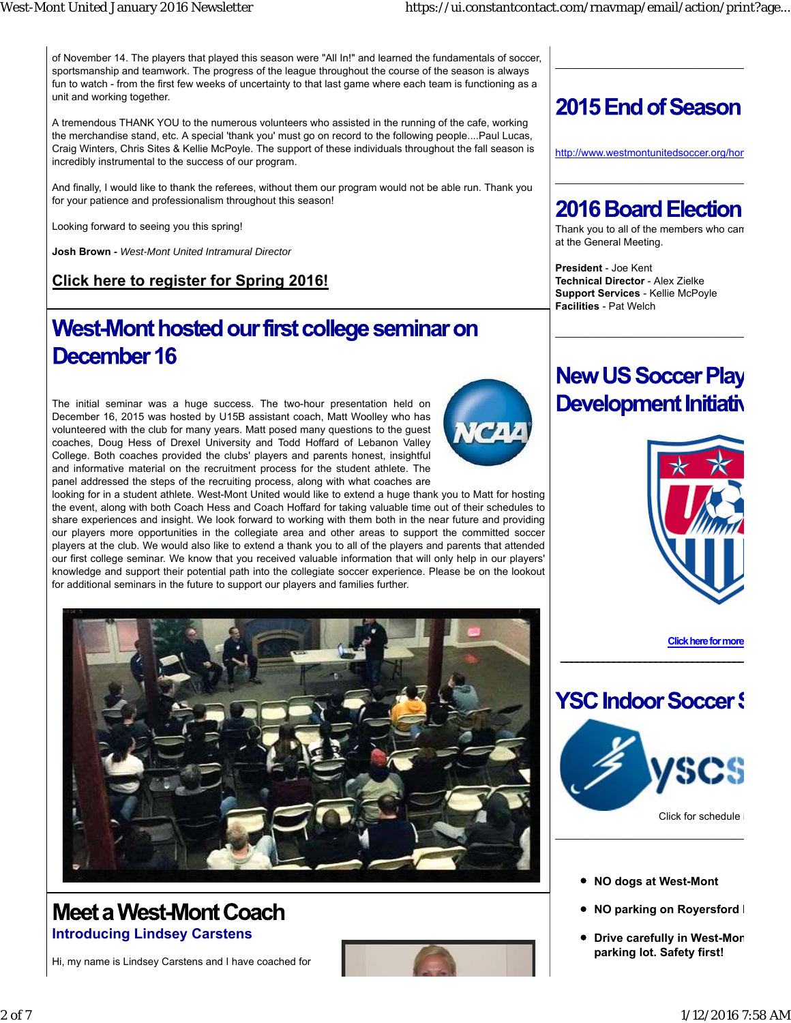of November 14. The players that played this season were "All In!" and learned the fundamentals of soccer, sportsmanship and teamwork. The progress of the league throughout the course of the season is always fun to watch - from the first few weeks of uncertainty to that last game where each team is functioning as a unit and working together.

A tremendous THANK YOU to the numerous volunteers who assisted in the running of the cafe, working the merchandise stand, etc. A special 'thank you' must go on record to the following people....Paul Lucas, Craig Winters, Chris Sites & Kellie McPoyle. The support of these individuals throughout the fall season is incredibly instrumental to the success of our program.

And finally, I would like to thank the referees, without them our program would not be able run. Thank you for your patience and professionalism throughout this season!

Looking forward to seeing you this spring!

**Josh Brown** *- West-Mont United Intramural Director*

### **Click here to register for Spring 2016!**

# West-Mont hosted our first college seminar on December 16

The initial seminar was a huge success. The two-hour presentation held on December 16, 2015 was hosted by U15B assistant coach, Matt Woolley who has volunteered with the club for many years. Matt posed many questions to the guest coaches, Doug Hess of Drexel University and Todd Hoffard of Lebanon Valley College. Both coaches provided the clubs' players and parents honest, insightful and informative material on the recruitment process for the student athlete. The panel addressed the steps of the recruiting process, along with what coaches are

looking for in a student athlete. West-Mont United would like to extend a huge thank you to Matt for hosting the event, along with both Coach Hess and Coach Hoffard for taking valuable time out of their schedules to share experiences and insight. We look forward to working with them both in the near future and providing our players more opportunities in the collegiate area and other areas to support the committed soccer players at the club. We would also like to extend a thank you to all of the players and parents that attended our first college seminar. We know that you received valuable information that will only help in our players' knowledge and support their potential path into the collegiate soccer experience. Please be on the lookout for additional seminars in the future to support our players and families further.



### **Meet a West-Mont Coach Introducing Lindsey Carstens**

Hi, my name is Lindsey Carstens and I have coached for



# 2015 End of Season

\_\_\_\_\_\_\_\_\_\_\_\_\_\_\_\_\_\_\_\_\_\_\_\_\_\_\_\_\_\_\_\_\_

http://www.westmontunitedsoccer.org/hor \_\_\_\_\_\_\_\_\_\_\_\_\_\_\_\_\_\_\_\_\_\_\_\_\_\_\_\_\_\_\_\_\_

# **2016 Board Election**

Thank you to all of the members who cam at the General Meeting.

**President** - Joe Kent **Technical Director** - Alex Zielke **Support Services** - Kellie McPoyle **Facilities** - Pat Welch

# **New US Soccer Play Development Initiativ**

 $\mathcal{L}_\text{max}$ 



**Click here for more**

# **YSC Indoor Soccer!**

 **\_\_\_\_\_\_\_\_\_\_\_\_\_\_\_\_\_\_\_\_\_\_\_\_\_\_\_\_\_\_\_\_\_\_\_\_**



**NO dogs at West-Mont** 

\_\_\_\_\_\_\_\_\_\_\_\_\_\_\_\_\_\_\_\_\_\_\_\_\_\_\_\_\_\_\_\_\_

- **NO parking on Royersford I**
- **Drive carefully in West-Mon parking lot. Safety first!**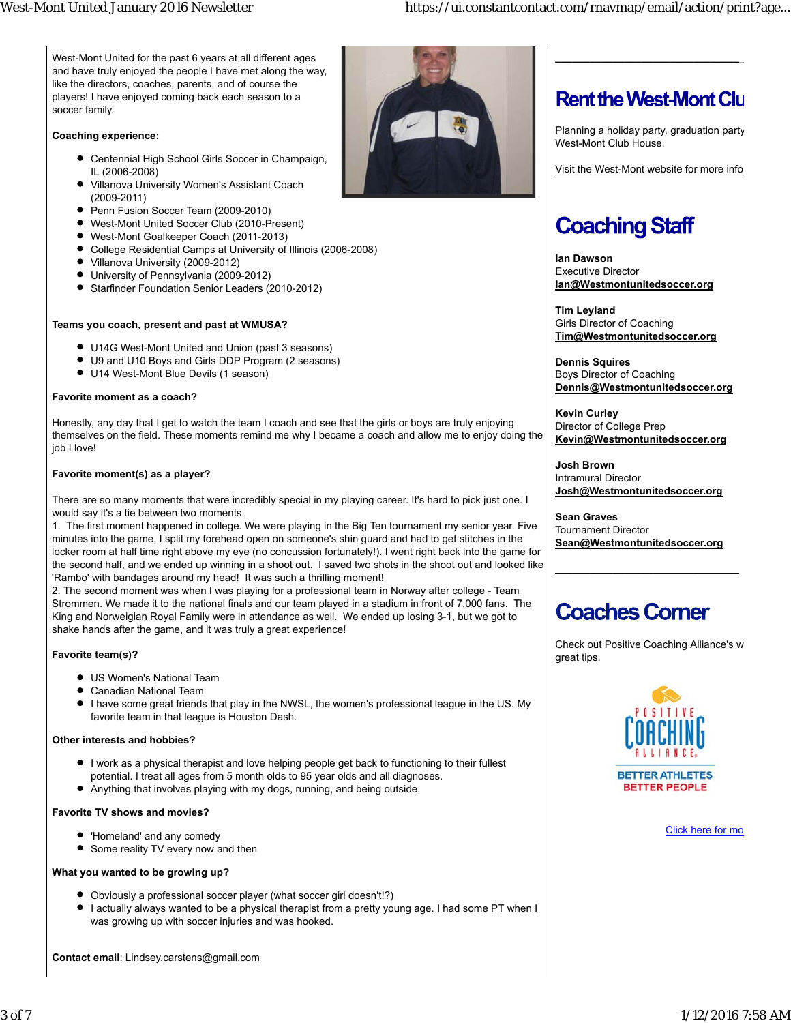West-Mont United for the past 6 years at all different ages and have truly enjoyed the people I have met along the way, like the directors, coaches, parents, and of course the players! I have enjoyed coming back each season to a soccer family.

#### **Coaching experience:**

- Centennial High School Girls Soccer in Champaign, IL (2006-2008)
- Villanova University Women's Assistant Coach (2009-2011)
- Penn Fusion Soccer Team (2009-2010)
- West-Mont United Soccer Club (2010-Present)
- West-Mont Goalkeeper Coach (2011-2013)
- College Residential Camps at University of Illinois (2006-2008)
- Villanova University (2009-2012)
- University of Pennsylvania (2009-2012)
- Starfinder Foundation Senior Leaders (2010-2012)

#### **Teams you coach, present and past at WMUSA?**

- U14G West-Mont United and Union (past 3 seasons)
- U9 and U10 Boys and Girls DDP Program (2 seasons)
- U14 West-Mont Blue Devils (1 season)

#### **Favorite moment as a coach?**

Honestly, any day that I get to watch the team I coach and see that the girls or boys are truly enjoying themselves on the field. These moments remind me why I became a coach and allow me to enjoy doing the job I love!

#### **Favorite moment(s) as a player?**

There are so many moments that were incredibly special in my playing career. It's hard to pick just one. I would say it's a tie between two moments.

1. The first moment happened in college. We were playing in the Big Ten tournament my senior year. Five minutes into the game, I split my forehead open on someone's shin guard and had to get stitches in the locker room at half time right above my eye (no concussion fortunately!). I went right back into the game for the second half, and we ended up winning in a shoot out. I saved two shots in the shoot out and looked like 'Rambo' with bandages around my head! It was such a thrilling moment!

2. The second moment was when I was playing for a professional team in Norway after college - Team Strommen. We made it to the national finals and our team played in a stadium in front of 7,000 fans. The King and Norweigian Royal Family were in attendance as well. We ended up losing 3-1, but we got to shake hands after the game, and it was truly a great experience!

#### **Favorite team(s)?**

- US Women's National Team
- Canadian National Team
- I have some great friends that play in the NWSL, the women's professional league in the US. My favorite team in that league is Houston Dash.

#### **Other interests and hobbies?**

- I work as a physical therapist and love helping people get back to functioning to their fullest potential. I treat all ages from 5 month olds to 95 year olds and all diagnoses.
- Anything that involves playing with my dogs, running, and being outside.

#### **Favorite TV shows and movies?**

- 'Homeland' and any comedy
- Some reality TV every now and then

#### **What you wanted to be growing up?**

- Obviously a professional soccer player (what soccer girl doesn't!?)
- I actually always wanted to be a physical therapist from a pretty young age. I had some PT when I was growing up with soccer injuries and was hooked.

**Contact email**: Lindsey.carstens@gmail.com



### **Rent the West-Mont Clu**

**\_\_\_\_\_\_\_\_\_\_\_\_\_\_\_\_\_\_\_\_\_\_\_\_\_\_\_\_\_\_\_\_\_**

Planning a holiday party, graduation party West-Mont Club House.

Visit the West-Mont website for more info

# **Coaching Staff**

**Ian Dawson** Executive Director **Ian@Westmontunitedsoccer.org**

**Tim Leyland** Girls Director of Coaching **Tim@Westmontunitedsoccer.org**

**Dennis Squires** Boys Director of Coaching **Dennis@Westmontunitedsoccer.org**

**Kevin Curley** Director of College Prep **Kevin@Westmontunitedsoccer.org**

**Josh Brown** Intramural Director **Josh@Westmontunitedsoccer.org**

**Sean Graves** Tournament Director **Sean@Westmontunitedsoccer.org**

\_\_\_\_\_\_\_\_\_\_\_\_\_\_\_\_\_\_\_\_\_\_\_\_\_\_\_\_\_\_\_\_

## **Coaches Comer**

Check out Positive Coaching Alliance's w great tips.



Click here for mo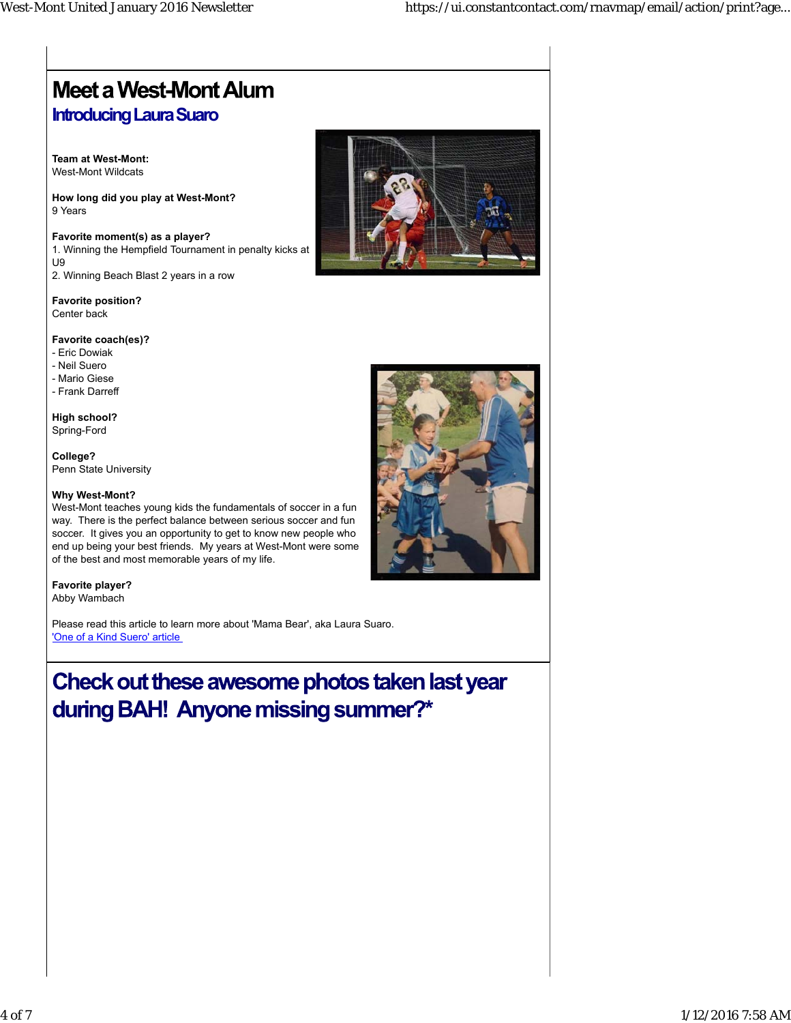### **Meet a West-Mont Alum Introducing Laura Suaro**

**Team at West-Mont:** West-Mont Wildcats

**How long did you play at West-Mont?** 9 Years

**Favorite moment(s) as a player?** 1. Winning the Hempfield Tournament in penalty kicks at U9 2. Winning Beach Blast 2 years in a row

**Favorite position?** Center back

**Favorite coach(es)?**

- Eric Dowiak

- Neil Suero

- Mario Giese - Frank Darreff
- 

**High school?** Spring-Ford

**College?** Penn State University

#### **Why West-Mont?**

West-Mont teaches young kids the fundamentals of soccer in a fun way. There is the perfect balance between serious soccer and fun soccer. It gives you an opportunity to get to know new people who end up being your best friends. My years at West-Mont were some of the best and most memorable years of my life.

**Favorite player?** Abby Wambach

Please read this article to learn more about 'Mama Bear', aka Laura Suaro. 'One of a Kind Suero' article

## Check out these awesome photos taken last year during BAH! Anyone missing summer?\*



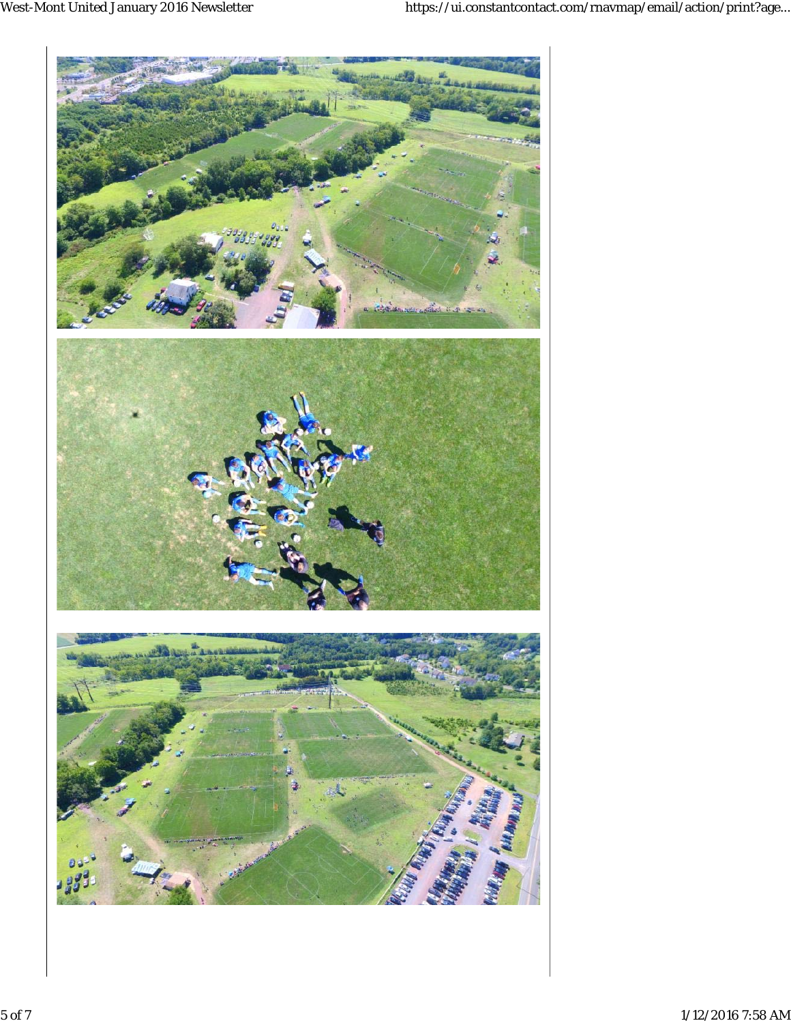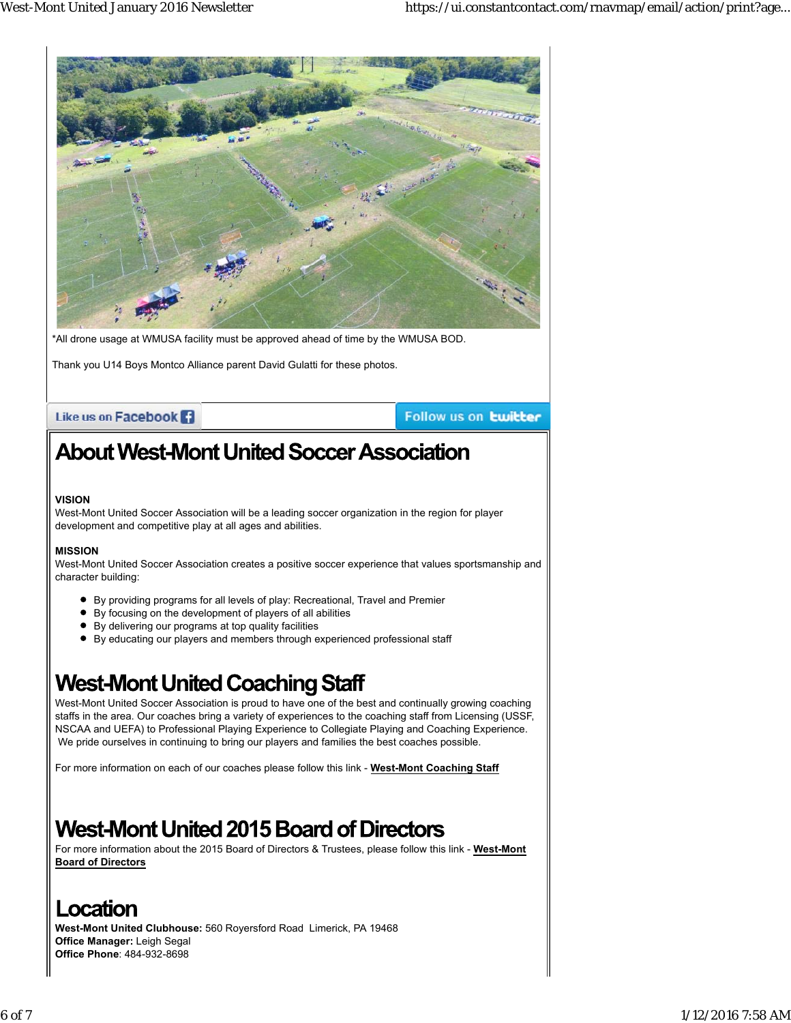

\*All drone usage at WMUSA facility must be approved ahead of time by the WMUSA BOD.

Thank you U14 Boys Montco Alliance parent David Gulatti for these photos.

Like us on Facebook<sup>1</sup>

Follow us on **twitter** 

# **About West-Mont United Soccer Association**

#### **VISION**

West-Mont United Soccer Association will be a leading soccer organization in the region for player development and competitive play at all ages and abilities.

#### **MISSION**

West-Mont United Soccer Association creates a positive soccer experience that values sportsmanship and character building:

- By providing programs for all levels of play: Recreational, Travel and Premier
- By focusing on the development of players of all abilities
- By delivering our programs at top quality facilities
- By educating our players and members through experienced professional staff

# **West-Mont United Coaching Staff**

West-Mont United Soccer Association is proud to have one of the best and continually growing coaching staffs in the area. Our coaches bring a variety of experiences to the coaching staff from Licensing (USSF, NSCAA and UEFA) to Professional Playing Experience to Collegiate Playing and Coaching Experience. We pride ourselves in continuing to bring our players and families the best coaches possible.

For more information on each of our coaches please follow this link - **West-Mont Coaching Staff**

# **West-Mont United 2015 Board of Directors**

For more information about the 2015 Board of Directors & Trustees, please follow this link - **West-Mont Board of Directors**

### Location

**West-Mont United Clubhouse:** 560 Royersford Road Limerick, PA 19468 **Office Manager:** Leigh Segal **Office Phone**: 484-932-8698